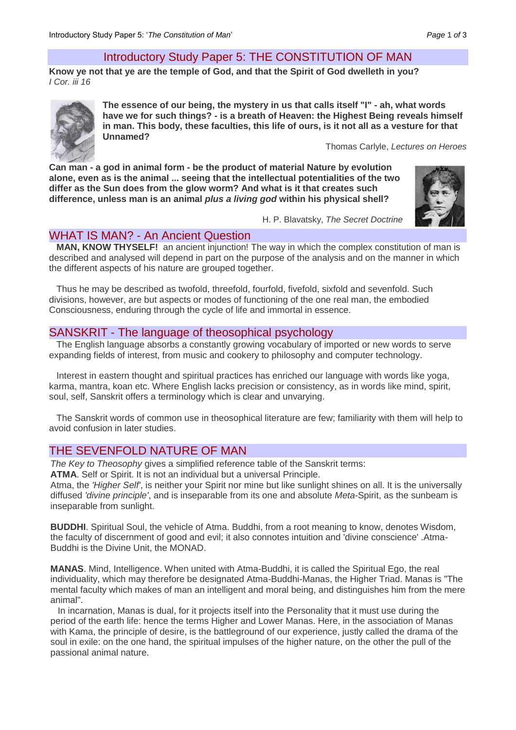## Introductory Study Paper 5: THE CONSTITUTION OF MAN

**Know ye not that ye are the temple of God, and that the Spirit of God dwelleth in you?** *I Cor. iii 16*



**The essence of our being, the mystery in us that calls itself "I" - ah, what words have we for such things? - is a breath of Heaven: the Highest Being reveals himself in man. This body, these faculties, this life of ours, is it not all as a vesture for that Unnamed?** 

Thomas Carlyle, *Lectures on Heroes*

**Can man - a god in animal form - be the product of material Nature by evolution alone, even as is the animal ... seeing that the intellectual potentialities of the two differ as the Sun does from the glow worm? And what is it that creates such difference, unless man is an animal** *plus a living god* **within his physical shell?** 



H. P. Blavatsky, *The Secret Doctrine* 

## WHAT IS MAN? - An Ancient Question

**MAN, KNOW THYSELF!** an ancient injunction! The way in which the complex constitution of man is described and analysed will depend in part on the purpose of the analysis and on the manner in which the different aspects of his nature are grouped together.

Thus he may be described as twofold, threefold, fourfold, fivefold, sixfold and sevenfold. Such divisions, however, are but aspects or modes of functioning of the one real man, the embodied Consciousness, enduring through the cycle of life and immortal in essence.

## SANSKRIT - The language of theosophical psychology

The English language absorbs a constantly growing vocabulary of imported or new words to serve expanding fields of interest, from music and cookery to philosophy and computer technology.

Interest in eastern thought and spiritual practices has enriched our language with words like yoga, karma, mantra, koan etc. Where English lacks precision or consistency, as in words like mind, spirit, soul, self, Sanskrit offers a terminology which is clear and unvarying.

The Sanskrit words of common use in theosophical literature are few; familiarity with them will help to avoid confusion in later studies.

# THE SEVENFOLD NATURE OF MAN

*The Key to Theosophy* gives a simplified reference table of the Sanskrit terms:

**ATMA**. Self or Spirit. It is not an individual but a universal Principle.

Atma, the *'Higher Self'*, is neither your Spirit nor mine but like sunlight shines on all. It is the universally diffused *'divine principle'*, and is inseparable from its one and absolute *Meta*-Spirit, as the sunbeam is inseparable from sunlight.

**BUDDHI**. Spiritual Soul, the vehicle of Atma. Buddhi, from a root meaning to know, denotes Wisdom, the faculty of discernment of good and evil; it also connotes intuition and 'divine conscience' .Atma-Buddhi is the Divine Unit, the MONAD.

**MANAS**. Mind, Intelligence. When united with Atma-Buddhi, it is called the Spiritual Ego, the real individuality, which may therefore be designated Atma-Buddhi-Manas, the Higher Triad. Manas is "The mental faculty which makes of man an intelligent and moral being, and distinguishes him from the mere animal".

In incarnation, Manas is dual, for it projects itself into the Personality that it must use during the period of the earth life: hence the terms Higher and Lower Manas. Here, in the association of Manas with Kama, the principle of desire, is the battleground of our experience, justly called the drama of the soul in exile: on the one hand, the spiritual impulses of the higher nature, on the other the pull of the passional animal nature.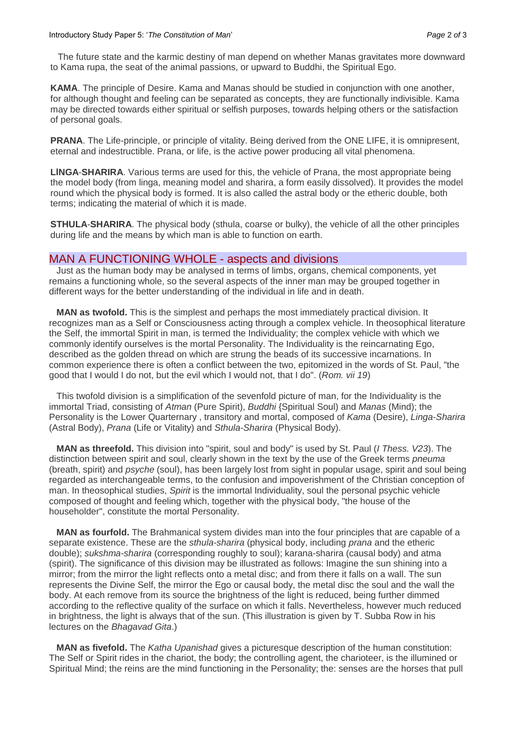The future state and the karmic destiny of man depend on whether Manas gravitates more downward to Kama rupa, the seat of the animal passions, or upward to Buddhi, the Spiritual Ego.

**KAMA**. The principle of Desire. Kama and Manas should be studied in conjunction with one another, for although thought and feeling can be separated as concepts, they are functionally indivisible. Kama may be directed towards either spiritual or selfish purposes, towards helping others or the satisfaction of personal goals.

**PRANA**. The Life-principle, or principle of vitality. Being derived from the ONE LIFE, it is omnipresent, eternal and indestructible. Prana, or life, is the active power producing all vital phenomena.

**LlNGA**-**SHARIRA**. Various terms are used for this, the vehicle of Prana, the most appropriate being the model body (from linga, meaning model and sharira, a form easily dissolved). It provides the model round which the physical body is formed. It is also called the astral body or the etheric double, both terms; indicating the material of which it is made.

**STHULA**-**SHARIRA**. The physical body (sthula, coarse or bulky), the vehicle of all the other principles during life and the means by which man is able to function on earth.

### MAN A FUNCTIONING WHOLE - aspects and divisions

Just as the human body may be analysed in terms of limbs, organs, chemical components, yet remains a functioning whole, so the several aspects of the inner man may be grouped together in different ways for the better understanding of the individual in life and in death.

**MAN as twofold.** This is the simplest and perhaps the most immediately practical division. It recognizes man as a Self or Consciousness acting through a complex vehicle. In theosophical literature the Self, the immortal Spirit in man, is termed the Individuality; the complex vehicle with which we commonly identify ourselves is the mortal Personality. The Individuality is the reincarnating Ego, described as the golden thread on which are strung the beads of its successive incarnations. In common experience there is often a conflict between the two, epitomized in the words of St. Paul, "the good that I would I do not, but the evil which I would not, that I do". (*Rom. vii 19*)

This twofold division is a simplification of the sevenfold picture of man, for the Individuality is the immortal Triad, consisting of *Atman* (Pure Spirit), *Buddhi* {Spiritual Soul) and *Manas* (Mind); the Personality is the Lower Quarternary , transitory and mortal, composed of *Kama* (Desire), *Linga*-*Sharira* (Astral Body), *Prana* (Life or Vitality) and *Sthula*-*Sharira* (Physical Body).

**MAN as threefold.** This division into "spirit, soul and body" is used by St. Paul (*I Thess. V23*). The distinction between spirit and soul, clearly shown in the text by the use of the Greek terms *pneuma* (breath, spirit) and *psyche* (soul), has been largely lost from sight in popular usage, spirit and soul being regarded as interchangeable terms, to the confusion and impoverishment of the Christian conception of man. In theosophical studies, *Spirit* is the immortal Individuality, soul the personal psychic vehicle composed of thought and feeling which, together with the physical body, "the house of the householder", constitute the mortal Personality.

**MAN as fourfold.** The Brahmanical system divides man into the four principles that are capable of a separate existence. These are the *sthula-sharira* (physical body, including *prana* and the etheric double); *sukshma-sharira* (corresponding roughly to soul); karana-sharira (causal body) and atma (spirit). The significance of this division may be illustrated as follows: Imagine the sun shining into a mirror; from the mirror the light reflects onto a metal disc; and from there it falls on a wall. The sun represents the Divine Self, the mirror the Ego or causal body, the metal disc the soul and the wall the body. At each remove from its source the brightness of the light is reduced, being further dimmed according to the reflective quality of the surface on which it falls. Nevertheless, however much reduced in brightness, the light is always that of the sun. (This illustration is given by T. Subba Row in his lectures on the *Bhagavad Gita*.)

**MAN as fivefold.** The *Katha Upanishad* gives a picturesque description of the human constitution: The Self or Spirit rides in the chariot, the body; the controlling agent, the charioteer, is the illumined or Spiritual Mind; the reins are the mind functioning in the Personality; the: senses are the horses that pull